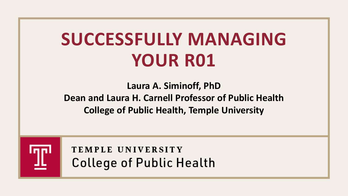# **SUCCESSFULLY MANAGING YOUR R01**

**Laura A. Siminoff, PhD Dean and Laura H. Carnell Professor of Public Health College of Public Health, Temple University**



TEMPLE UNIVERSITY **College of Public Health**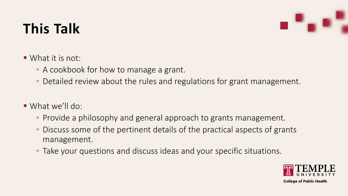#### **This Talk**

- What it is not:
	- A cookbook for how to manage a grant.
	- Detailed review about the rules and regulations for grant management.
- What we'll do:
	- Provide a philosophy and general approach to grants management.
	- Discuss some of the pertinent details of the practical aspects of grants management.
	- Take your questions and discuss ideas and your specific situations.

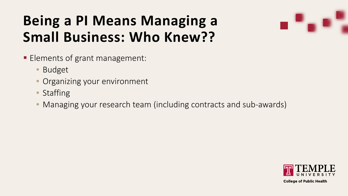#### **Being a PI Means Managing a Small Business: Who Knew??**



- **Elements of grant management:** 
	- Budget
	- Organizing your environment
	- Staffing
	- Managing your research team (including contracts and sub-awards)

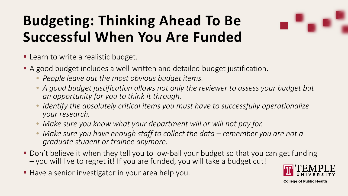## **Budgeting: Thinking Ahead To Be Successful When You Are Funded**

- **Learn to write a realistic budget.**
- A good budget includes a well-written and detailed budget justification.
	- *People leave out the most obvious budget items.*
	- *A good budget justification allows not only the reviewer to assess your budget but an opportunity for you to think it through.*
	- *Identify the absolutely critical items you must have to successfully operationalize your research.*
	- *Make sure you know what your department will or will not pay for.*
	- *Make sure you have enough staff to collect the data – remember you are not a graduate student or trainee anymore.*
- Don't believe it when they tell you to low-ball your budget so that you can get funding  $-$  you will live to regret it! If you are funded, you will take a budget cut!
- Have a senior investigator in your area help you.

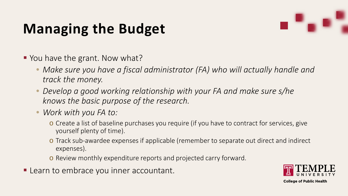### **Managing the Budget**



- You have the grant. Now what?
	- Make sure you have a fiscal administrator (FA) who will actually handle and *track the money.*
	- *Develop a good working relationship with your FA and make sure s/he knows the basic purpose of the research.*
	- *Work with you FA to:*
		- o Create a list of baseline purchases you require (if you have to contract for services, give yourself plenty of time).
		- o Track sub-awardee expenses if applicable (remember to separate out direct and indirect expenses).
		- o Review monthly expenditure reports and projected carry forward.
- **Learn to embrace you inner accountant.**

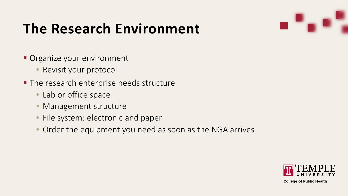#### **The Research Environment**

- **Organize your environment** 
	- Revisit your protocol
- **The research enterprise needs structure** 
	- Lab or office space
	- Management structure
	- File system: electronic and paper
	- Order the equipment you need as soon as the NGA arrives

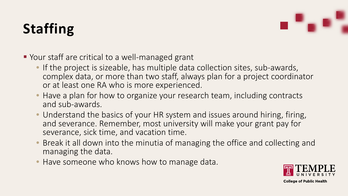## **Staffing**



- Your staff are critical to a well-managed grant
	- If the project is sizeable, has multiple data collection sites, sub-awards, complex data, or more than two staff, always plan for a project coordinator or at least one RA who is more experienced.
	- Have a plan for how to organize your research team, including contracts and sub-awards.
	- Understand the basics of your HR system and issues around hiring, firing, and severance. Remember, most university will make your grant pay for severance, sick time, and vacation time.
	- Break it all down into the minutia of managing the office and collecting and managing the data.
	- Have someone who knows how to manage data.

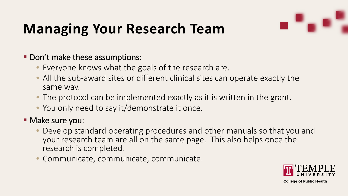

#### **Managing Your Research Team**

#### **- Don't make these assumptions:**

- Everyone knows what the goals of the research are.
- All the sub-award sites or different clinical sites can operate exactly the same way.
- The protocol can be implemented exactly as it is written in the grant.
- You only need to say it/demonstrate it once.

#### **Make sure you:**

- Develop standard operating procedures and other manuals so that you and your research team are all on the same page. This also helps once the research is completed*.*
- Communicate, communicate, communicate.

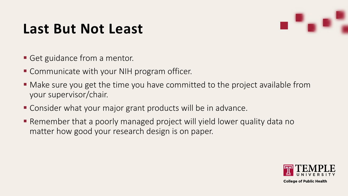#### **Last But Not Least**



- **Get guidance from a mentor.**
- Communicate with your NIH program officer.
- Make sure you get the time you have committed to the project available from your supervisor/chair.
- Consider what your major grant products will be in advance.
- Remember that a poorly managed project will yield lower quality data no matter how good your research design is on paper.